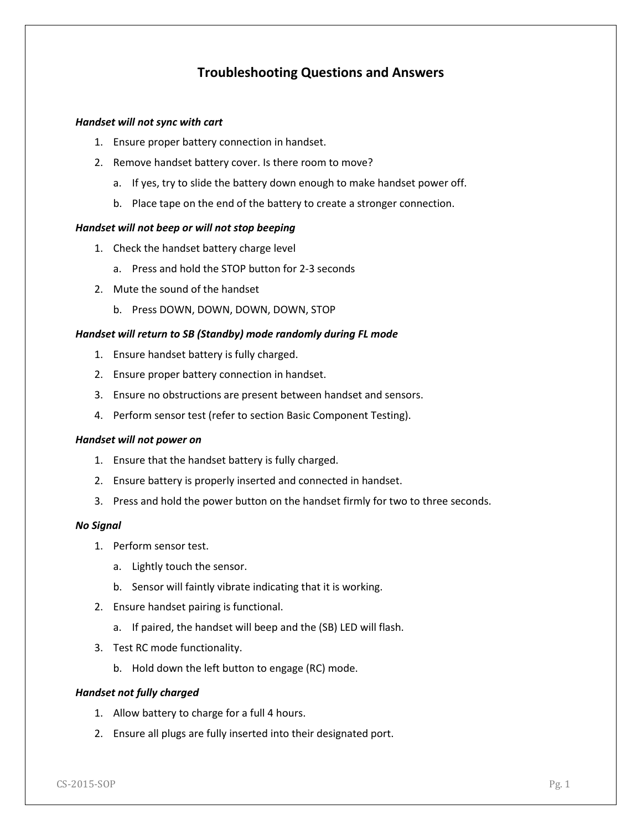# **Troubleshooting Questions and Answers**

### *Handset will not sync with cart*

- 1. Ensure proper battery connection in handset.
- 2. Remove handset battery cover. Is there room to move?
	- a. If yes, try to slide the battery down enough to make handset power off.
	- b. Place tape on the end of the battery to create a stronger connection.

#### *Handset will not beep or will not stop beeping*

- 1. Check the handset battery charge level
	- a. Press and hold the STOP button for 2-3 seconds
- 2. Mute the sound of the handset
	- b. Press DOWN, DOWN, DOWN, DOWN, STOP

#### *Handset will return to SB (Standby) mode randomly during FL mode*

- 1. Ensure handset battery is fully charged.
- 2. Ensure proper battery connection in handset.
- 3. Ensure no obstructions are present between handset and sensors.
- 4. Perform sensor test (refer to section Basic Component Testing).

#### *Handset will not power on*

- 1. Ensure that the handset battery is fully charged.
- 2. Ensure battery is properly inserted and connected in handset.
- 3. Press and hold the power button on the handset firmly for two to three seconds.

#### *No Signal*

- 1. Perform sensor test.
	- a. Lightly touch the sensor.
	- b. Sensor will faintly vibrate indicating that it is working.
- 2. Ensure handset pairing is functional.
	- a. If paired, the handset will beep and the (SB) LED will flash.
- 3. Test RC mode functionality.
	- b. Hold down the left button to engage (RC) mode.

#### *Handset not fully charged*

- 1. Allow battery to charge for a full 4 hours.
- 2. Ensure all plugs are fully inserted into their designated port.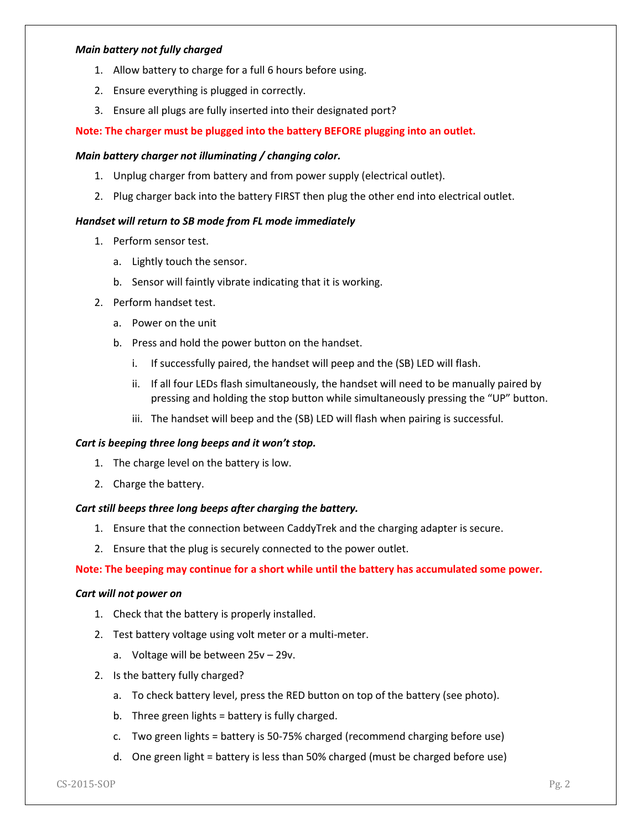## *Main battery not fully charged*

- 1. Allow battery to charge for a full 6 hours before using.
- 2. Ensure everything is plugged in correctly.
- 3. Ensure all plugs are fully inserted into their designated port?

# **Note: The charger must be plugged into the battery BEFORE plugging into an outlet.**

# *Main battery charger not illuminating / changing color.*

- 1. Unplug charger from battery and from power supply (electrical outlet).
- 2. Plug charger back into the battery FIRST then plug the other end into electrical outlet.

# *Handset will return to SB mode from FL mode immediately*

- 1. Perform sensor test.
	- a. Lightly touch the sensor.
	- b. Sensor will faintly vibrate indicating that it is working.
- 2. Perform handset test.
	- a. Power on the unit
	- b. Press and hold the power button on the handset.
		- i. If successfully paired, the handset will peep and the (SB) LED will flash.
		- ii. If all four LEDs flash simultaneously, the handset will need to be manually paired by pressing and holding the stop button while simultaneously pressing the "UP" button.
		- iii. The handset will beep and the (SB) LED will flash when pairing is successful.

# *Cart is beeping three long beeps and it won't stop.*

- 1. The charge level on the battery is low.
- 2. Charge the battery.

# *Cart still beeps three long beeps after charging the battery.*

- 1. Ensure that the connection between CaddyTrek and the charging adapter is secure.
- 2. Ensure that the plug is securely connected to the power outlet.

# **Note: The beeping may continue for a short while until the battery has accumulated some power.**

### *Cart will not power on*

- 1. Check that the battery is properly installed.
- 2. Test battery voltage using volt meter or a multi-meter.
	- a. Voltage will be between 25v 29v.
- 2. Is the battery fully charged?
	- a. To check battery level, press the RED button on top of the battery (see photo).
	- b. Three green lights = battery is fully charged.
	- c. Two green lights = battery is 50-75% charged (recommend charging before use)
	- d. One green light = battery is less than 50% charged (must be charged before use)

 $C$ S-2015-SOP Pg. 2